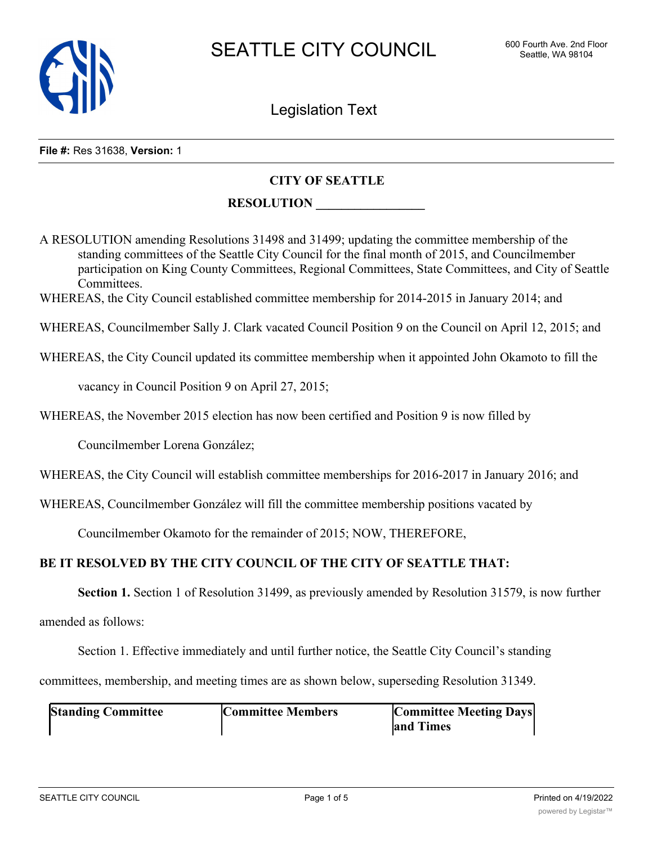

Legislation Text

#### **File #:** Res 31638, **Version:** 1

### **CITY OF SEATTLE**

### **RESOLUTION \_\_\_\_\_\_\_\_\_\_\_\_\_\_\_\_\_**

A RESOLUTION amending Resolutions 31498 and 31499; updating the committee membership of the standing committees of the Seattle City Council for the final month of 2015, and Councilmember participation on King County Committees, Regional Committees, State Committees, and City of Seattle Committees.

WHEREAS, the City Council established committee membership for 2014-2015 in January 2014; and

WHEREAS, Councilmember Sally J. Clark vacated Council Position 9 on the Council on April 12, 2015; and

WHEREAS, the City Council updated its committee membership when it appointed John Okamoto to fill the

vacancy in Council Position 9 on April 27, 2015;

WHEREAS, the November 2015 election has now been certified and Position 9 is now filled by

Councilmember Lorena González;

WHEREAS, the City Council will establish committee memberships for 2016-2017 in January 2016; and

WHEREAS, Councilmember González will fill the committee membership positions vacated by

Councilmember Okamoto for the remainder of 2015; NOW, THEREFORE,

### **BE IT RESOLVED BY THE CITY COUNCIL OF THE CITY OF SEATTLE THAT:**

**Section 1.** Section 1 of Resolution 31499, as previously amended by Resolution 31579, is now further

amended as follows:

Section 1. Effective immediately and until further notice, the Seattle City Council's standing

committees, membership, and meeting times are as shown below, superseding Resolution 31349.

| <b>Standing Committee</b> | <b>Committee Members</b> | <b>Committee Meeting Days</b> |
|---------------------------|--------------------------|-------------------------------|
|                           |                          | and Times                     |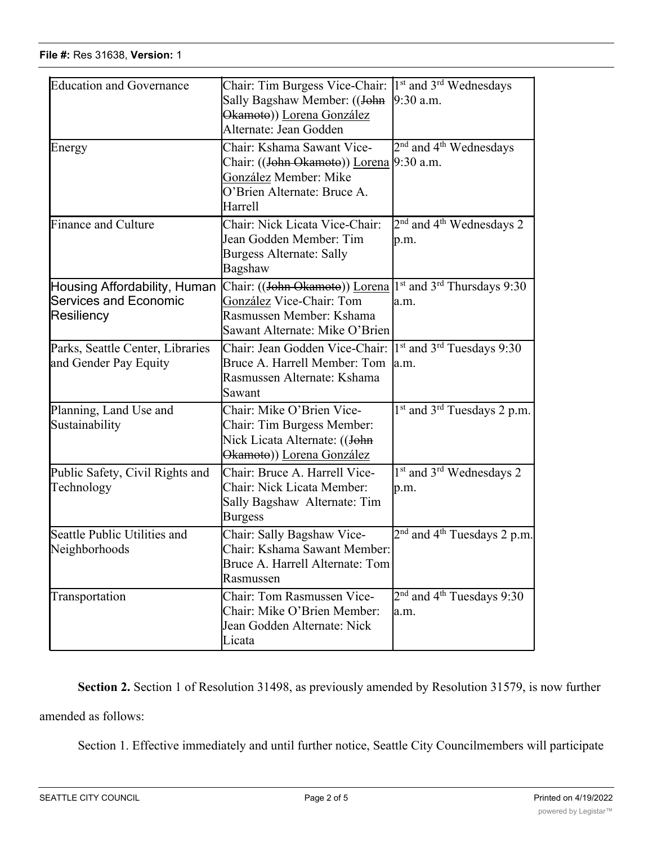| <b>Education and Governance</b>                                            | Chair: Tim Burgess Vice-Chair:<br>Sally Bagshaw Member: ((John<br>Okamoto)) Lorena González<br>Alternate: Jean Godden                                         | $1st$ and $3rd$ Wednesdays<br>9:30 a.m.                     |
|----------------------------------------------------------------------------|---------------------------------------------------------------------------------------------------------------------------------------------------------------|-------------------------------------------------------------|
| Energy                                                                     | Chair: Kshama Sawant Vice-<br>Chair: ((J <del>ohn Okamoto</del> )) Lorena 9:30 a.m.<br>González Member: Mike<br>O'Brien Alternate: Bruce A.<br><b>Harrell</b> | $2nd$ and 4 <sup>th</sup> Wednesdays                        |
| <b>Finance and Culture</b>                                                 | Chair: Nick Licata Vice-Chair:<br>Jean Godden Member: Tim<br><b>Burgess Alternate: Sally</b><br>Bagshaw                                                       | 2 <sup>nd</sup> and 4 <sup>th</sup> Wednesdays 2<br>p.m.    |
| Housing Affordability, Human<br><b>Services and Economic</b><br>Resiliency | Chair: ((John Okamoto)) Lorena<br>González Vice-Chair: Tom<br>Rasmussen Member: Kshama<br>Sawant Alternate: Mike O'Brien                                      | 1 <sup>st</sup> and 3 <sup>rd</sup> Thursdays 9:30<br>la.m. |
| Parks, Seattle Center, Libraries<br>and Gender Pay Equity                  | Chair: Jean Godden Vice-Chair:<br>Bruce A. Harrell Member: Tom<br>Rasmussen Alternate: Kshama<br>Sawant                                                       | 1 <sup>st</sup> and 3 <sup>rd</sup> Tuesdays 9:30<br>a.m.   |
| Planning, Land Use and<br>Sustainability                                   | Chair: Mike O'Brien Vice-<br>Chair: Tim Burgess Member:<br>Nick Licata Alternate: ((John<br>Okamoto)) Lorena González                                         | $1st$ and 3 <sup>rd</sup> Tuesdays 2 p.m.                   |
| Public Safety, Civil Rights and<br>Technology                              | Chair: Bruce A. Harrell Vice-<br>Chair: Nick Licata Member:<br>Sally Bagshaw Alternate: Tim<br><b>Burgess</b>                                                 | $1st$ and $3rd$ Wednesdays 2<br>p.m.                        |
| Seattle Public Utilities and<br>Neighborhoods                              | Chair: Sally Bagshaw Vice-<br>Chair: Kshama Sawant Member:<br>Bruce A. Harrell Alternate: Tom<br>Rasmussen                                                    | $2nd$ and 4 <sup>th</sup> Tuesdays 2 p.m.                   |
| Transportation                                                             | Chair: Tom Rasmussen Vice-<br>Chair: Mike O'Brien Member:<br>Jean Godden Alternate: Nick<br>Licata                                                            | 2 <sup>nd</sup> and 4 <sup>th</sup> Tuesdays 9:30<br>la.m.  |

**Section 2.** Section 1 of Resolution 31498, as previously amended by Resolution 31579, is now further amended as follows:

Section 1. Effective immediately and until further notice, Seattle City Councilmembers will participate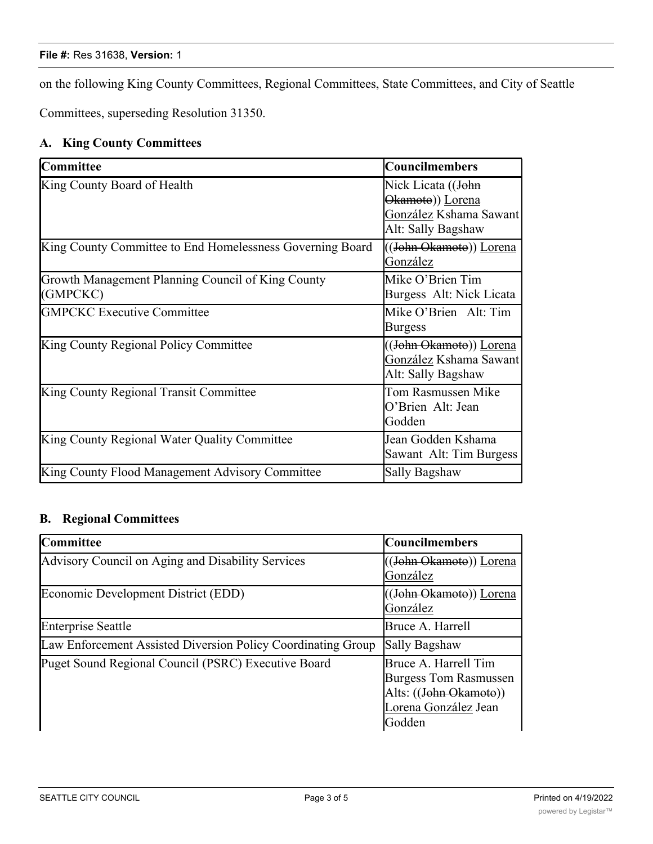#### **File #:** Res 31638, **Version:** 1

on the following King County Committees, Regional Committees, State Committees, and City of Seattle

Committees, superseding Resolution 31350.

## **A. King County Committees**

| Committee                                                     | <b>Councilmembers</b>                                                                  |
|---------------------------------------------------------------|----------------------------------------------------------------------------------------|
| King County Board of Health                                   | Nick Licata ((John<br>Okamoto)) Lorena<br>González Kshama Sawant<br>Alt: Sally Bagshaw |
| King County Committee to End Homelessness Governing Board     | ((John Okamoto)) Lorena<br>González                                                    |
| Growth Management Planning Council of King County<br>(GMPCKC) | Mike O'Brien Tim<br>Burgess Alt: Nick Licata                                           |
| <b>GMPCKC Executive Committee</b>                             | Mike O'Brien Alt: Tim<br><b>Burgess</b>                                                |
| King County Regional Policy Committee                         | ((J <del>ohn Okamoto</del> )) Lorena<br>González Kshama Sawant<br>Alt: Sally Bagshaw   |
| King County Regional Transit Committee                        | Tom Rasmussen Mike<br>O'Brien Alt: Jean<br>Godden                                      |
| King County Regional Water Quality Committee                  | Jean Godden Kshama<br>Sawant Alt: Tim Burgess                                          |
| King County Flood Management Advisory Committee               | Sally Bagshaw                                                                          |

## **B. Regional Committees**

| <b>Committee</b>                                             | <b>Councilmembers</b>                                                                                            |
|--------------------------------------------------------------|------------------------------------------------------------------------------------------------------------------|
| Advisory Council on Aging and Disability Services            | ((John Okamoto)) Lorena<br>González                                                                              |
| Economic Development District (EDD)                          | ((John Okamoto)) Lorena<br>González                                                                              |
| <b>Enterprise Seattle</b>                                    | Bruce A. Harrell                                                                                                 |
| Law Enforcement Assisted Diversion Policy Coordinating Group | Sally Bagshaw                                                                                                    |
| Puget Sound Regional Council (PSRC) Executive Board          | Bruce A. Harrell Tim<br><b>Burgess Tom Rasmussen</b><br>Alts: ((John Okamoto))<br>Lorena González Jean<br>Godden |

González<br>González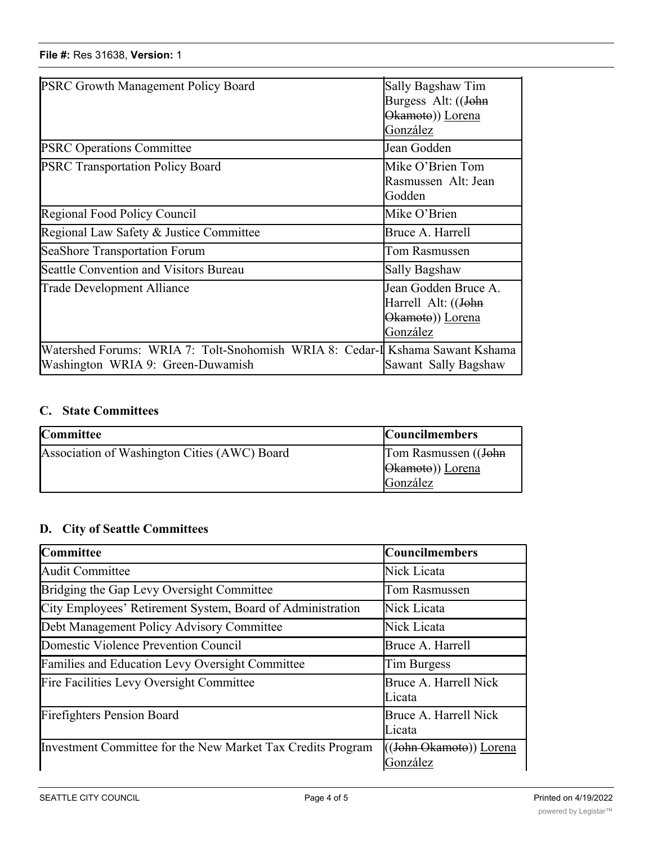| <b>PSRC Growth Management Policy Board</b>                                                                         | Sally Bagshaw Tim<br>Burgess Alt: ((John<br>Okamoto)) Lorena<br>González    |
|--------------------------------------------------------------------------------------------------------------------|-----------------------------------------------------------------------------|
| <b>PSRC Operations Committee</b>                                                                                   | Jean Godden                                                                 |
| <b>PSRC Transportation Policy Board</b>                                                                            | Mike O'Brien Tom<br>Rasmussen Alt: Jean<br>Godden                           |
| <b>Regional Food Policy Council</b>                                                                                | Mike O'Brien                                                                |
| Regional Law Safety & Justice Committee                                                                            | Bruce A. Harrell                                                            |
| SeaShore Transportation Forum                                                                                      | Tom Rasmussen                                                               |
| Seattle Convention and Visitors Bureau                                                                             | Sally Bagshaw                                                               |
| Trade Development Alliance                                                                                         | Jean Godden Bruce A.<br>Harrell Alt: ((John<br>Okamoto)) Lorena<br>González |
| Watershed Forums: WRIA 7: Tolt-Snohomish WRIA 8: Cedar-I Kshama Sawant Kshama<br>Washington WRIA 9: Green-Duwamish | Sawant Sally Bagshaw                                                        |

Alts: ((John Okamoto))

## **C. State Committees**

| <b>Committee</b>                             | <b>Councilmembers</b>                    |
|----------------------------------------------|------------------------------------------|
| Association of Washington Cities (AWC) Board | Tom Rasmussen ((John<br>Okamoto)) Lorena |
|                                              | González                                 |

# **D. City of Seattle Committees**

| <b>Committee</b>                                            | <b>Councilmembers</b>                            |
|-------------------------------------------------------------|--------------------------------------------------|
| Audit Committee                                             | Nick Licata                                      |
| Bridging the Gap Levy Oversight Committee                   | Tom Rasmussen                                    |
| City Employees' Retirement System, Board of Administration  | Nick Licata                                      |
| Debt Management Policy Advisory Committee                   | Nick Licata                                      |
| Domestic Violence Prevention Council                        | Bruce A. Harrell                                 |
| Families and Education Levy Oversight Committee             | Tim Burgess                                      |
| Fire Facilities Levy Oversight Committee                    | Bruce A. Harrell Nick<br>Licata                  |
| <b>Firefighters Pension Board</b>                           | Bruce A. Harrell Nick<br>Licata                  |
| Investment Committee for the New Market Tax Credits Program | (( <del>John Okamoto</del> )) Lorena<br>González |